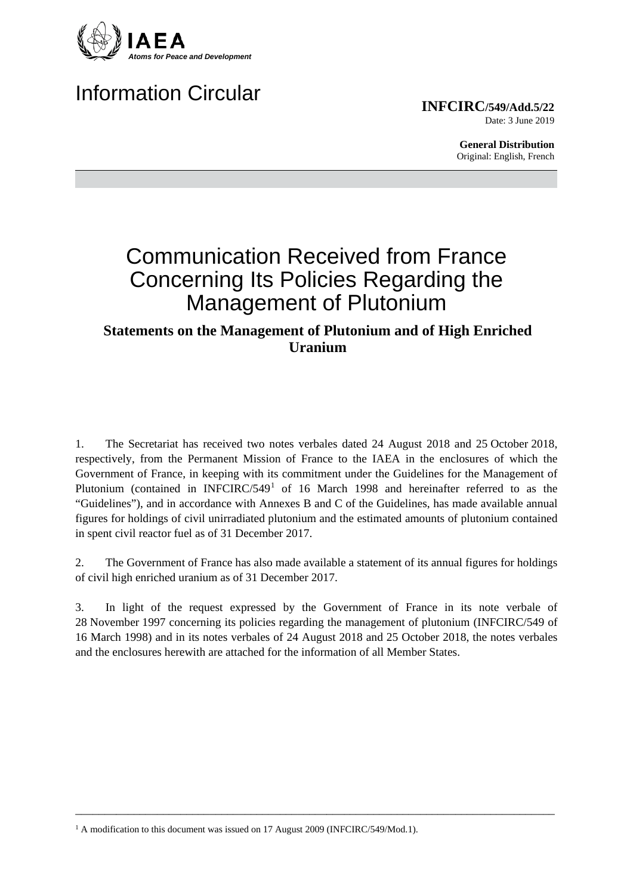

# Information Circular

**INFCIRC/549/Add.5/22** Date: 3 June 2019

> **General Distribution** Original: English, French

# Communication Received from France Concerning Its Policies Regarding the Management of Plutonium

# **Statements on the Management of Plutonium and of High Enriched Uranium**

1. The Secretariat has received two notes verbales dated 24 August 2018 and 25 October 2018, respectively, from the Permanent Mission of France to the IAEA in the enclosures of which the Government of France, in keeping with its commitment under the Guidelines for the Management of Plutonium (contained in INFCIRC/549<sup>[1](#page-0-0)</sup> of 16 March 1998 and hereinafter referred to as the "Guidelines"), and in accordance with Annexes B and C of the Guidelines, has made available annual figures for holdings of civil unirradiated plutonium and the estimated amounts of plutonium contained in spent civil reactor fuel as of 31 December 2017.

2. The Government of France has also made available a statement of its annual figures for holdings of civil high enriched uranium as of 31 December 2017.

3. In light of the request expressed by the Government of France in its note verbale of 28 November 1997 concerning its policies regarding the management of plutonium (INFCIRC/549 of 16 March 1998) and in its notes verbales of 24 August 2018 and 25 October 2018, the notes verbales and the enclosures herewith are attached for the information of all Member States.

\_\_\_\_\_\_\_\_\_\_\_\_\_\_\_\_\_\_\_\_\_\_\_\_\_\_\_\_\_\_\_\_\_\_\_\_\_\_\_\_\_\_\_\_\_\_\_\_\_\_\_\_\_\_\_\_\_\_\_\_\_\_\_\_\_\_\_\_\_\_\_\_\_\_\_\_\_\_\_\_\_\_

<span id="page-0-0"></span><sup>&</sup>lt;sup>1</sup> A modification to this document was issued on 17 August 2009 (INFCIRC/549/Mod.1).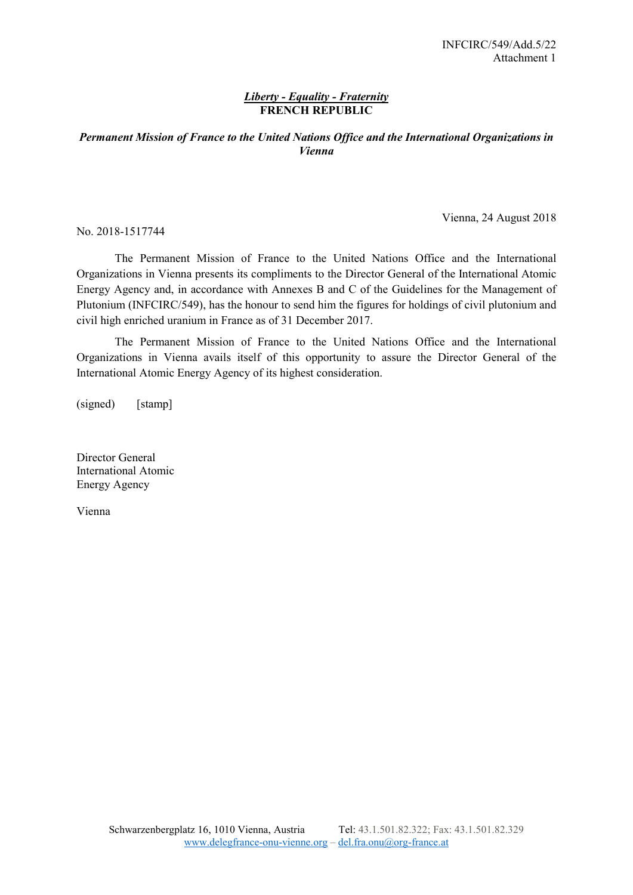## *Liberty - Equality - Fraternity* **FRENCH REPUBLIC**

## *Permanent Mission of France to the United Nations Office and the International Organizations in Vienna*

No. 2018-1517744

Vienna, 24 August 2018

The Permanent Mission of France to the United Nations Office and the International Organizations in Vienna presents its compliments to the Director General of the International Atomic Energy Agency and, in accordance with Annexes B and C of the Guidelines for the Management of Plutonium (INFCIRC/549), has the honour to send him the figures for holdings of civil plutonium and civil high enriched uranium in France as of 31 December 2017.

The Permanent Mission of France to the United Nations Office and the International Organizations in Vienna avails itself of this opportunity to assure the Director General of the International Atomic Energy Agency of its highest consideration.

(signed) [stamp]

Director General International Atomic Energy Agency

Vienna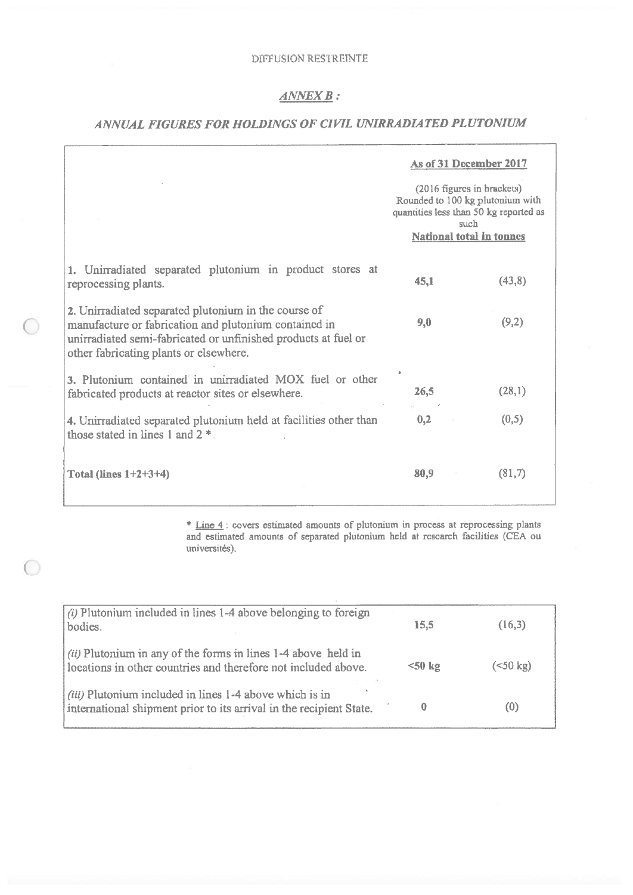# $\angle$  ANNEX  $\bm{B}$  :

# ANNUAL FIGURES FOR HOLDINGS OF CIVIL UNIRRADIATED PLUTONIUM

|                                                                                                                                                                                                                           | As of 31 December 2017                                                                                                                       |        |
|---------------------------------------------------------------------------------------------------------------------------------------------------------------------------------------------------------------------------|----------------------------------------------------------------------------------------------------------------------------------------------|--------|
|                                                                                                                                                                                                                           | (2016 figures in brackets)<br>Rounded to 100 kg plutonium with<br>quantities less than 50 kg reported as<br>such<br>National total in tonnes |        |
| 1. Unirradiated separated plutonium in product stores at<br>reprocessing plants.                                                                                                                                          | 45,1                                                                                                                                         | (43,8) |
| 2. Unirradiated separated plutonium in the course of<br>manufacture or fabrication and plutonium contained in<br>unirradiated semi-fabricated or unfinished products at fuel or<br>other fabricating plants or elsewhere. | 9,0                                                                                                                                          | (9,2)  |
| 3. Plutonium contained in unirradiated MOX fuel or other<br>fabricated products at reactor sites or elsewhere.                                                                                                            | 26,5                                                                                                                                         | (28,1) |
| 4. Unirradiated separated plutonium held at facilities other than<br>those stated in lines 1 and $2$ <sup>*</sup>                                                                                                         | 0,2                                                                                                                                          | (0,5)  |
| Total (lines $1+2+3+4$ )                                                                                                                                                                                                  | 80,9                                                                                                                                         | (81,7) |

\* Line 4 : covers estimated amounts of plutonium in process at reprocessing plants and estimated amounts of separated plutonium held at research facilities (CEA ou universités).

| $(i)$ Plutonium included in lines 1-4 above belonging to foreign                                                                |                 |                     |
|---------------------------------------------------------------------------------------------------------------------------------|-----------------|---------------------|
| bodies.                                                                                                                         | 15,5            | (16,3)              |
| (ii) Plutonium in any of the forms in lines 1-4 above held in<br>locations in other countries and therefore not included above. | $50 \text{ kg}$ | $(< 50 \text{ kg})$ |
| (iii) Plutonium included in lines 1-4 above which is in<br>international shipment prior to its arrival in the recipient State.  |                 | (0)                 |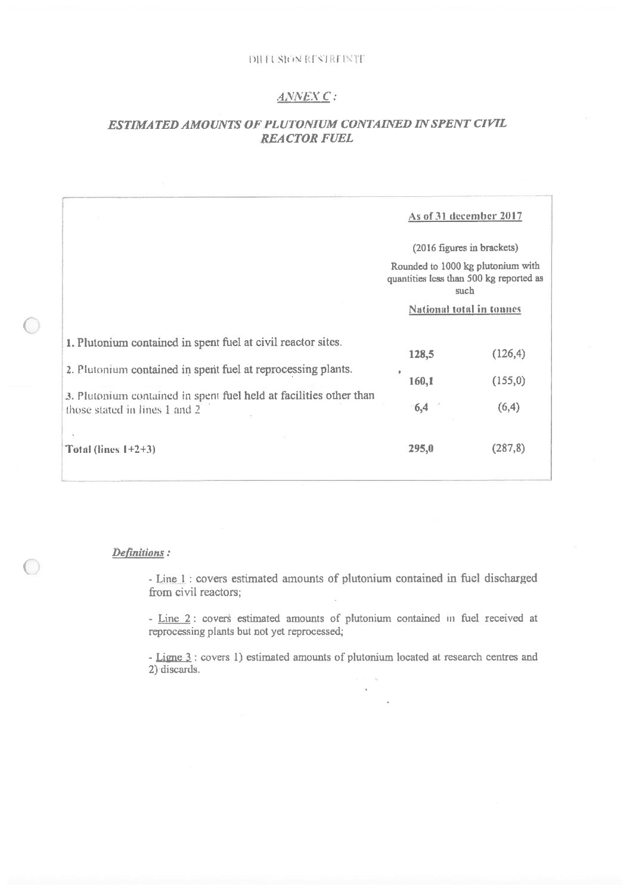#### DIHI SIGN RESTREINTE

## ANNEX C:

## ESTIMATED AMOUNTS OF PLUTONIUM CONTAINED IN SPENT CIVIL **REACTOR FUEL**

|                                                                                                                                                                                                                                     | As of 31 december 2017                                                                                                                                |                              |
|-------------------------------------------------------------------------------------------------------------------------------------------------------------------------------------------------------------------------------------|-------------------------------------------------------------------------------------------------------------------------------------------------------|------------------------------|
|                                                                                                                                                                                                                                     | (2016 figures in brackets)<br>Rounded to 1000 kg plutonium with<br>quantities less than 500 kg reported as<br>such<br><b>National total in tonnes</b> |                              |
| 1. Plutonium contained in spent fuel at civil reactor sites.<br>2. Plutonium contained in spent fuel at reprocessing plants.<br>3. Plutonium contained in spent fuel held at facilities other than<br>those stated in lines 1 and 2 | 128,5<br>160,1<br>6,4                                                                                                                                 | (126, 4)<br>(155,0)<br>(6,4) |
| Total (lines $1+2+3$ )                                                                                                                                                                                                              | 295,0                                                                                                                                                 | (287, 8)                     |

### Definitions:

- Line 1 : covers estimated amounts of plutonium contained in fuel discharged from civil reactors;

- Line 2: covers estimated amounts of plutonium contained in fuel received at reprocessing plants but not yet reprocessed;

- Ligne 3 : covers 1) estimated amounts of plutonium located at research centres and  $2)$  discards.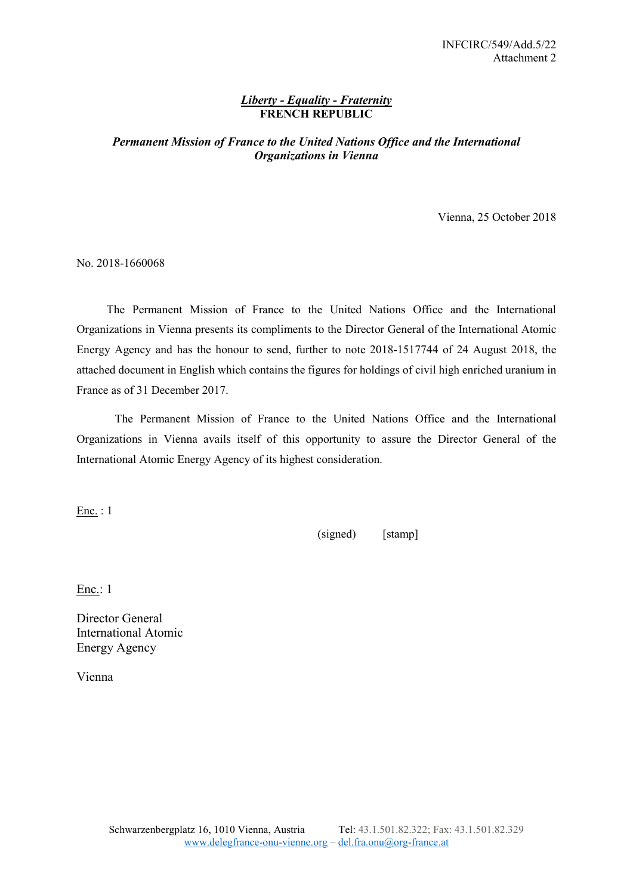## *Liberty - Equality - Fraternity* **FRENCH REPUBLIC**

## *Permanent Mission of France to the United Nations Office and the International Organizations in Vienna*

Vienna, 25 October 2018

No. 2018-1660068

The Permanent Mission of France to the United Nations Office and the International Organizations in Vienna presents its compliments to the Director General of the International Atomic Energy Agency and has the honour to send, further to note 2018-1517744 of 24 August 2018, the attached document in English which contains the figures for holdings of civil high enriched uranium in France as of 31 December 2017.

The Permanent Mission of France to the United Nations Office and the International Organizations in Vienna avails itself of this opportunity to assure the Director General of the International Atomic Energy Agency of its highest consideration.

Enc. : 1

(signed) [stamp]

Enc.: 1

Director General International Atomic Energy Agency

Vienna